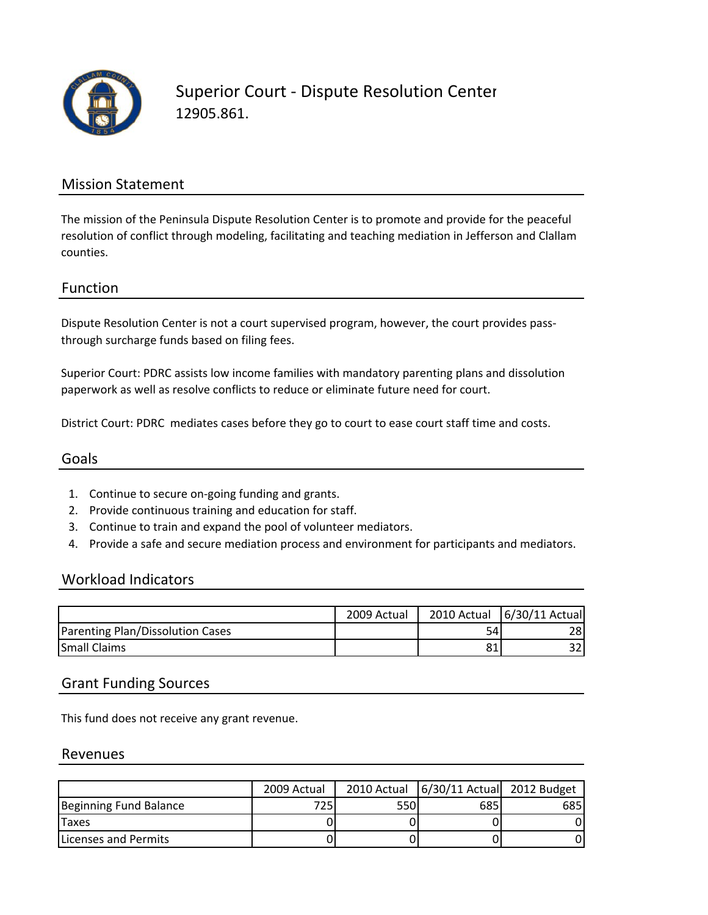

### Mission Statement

The mission of the Peninsula Dispute Resolution Center is to promote and provide for the peaceful resolution of conflict through modeling, facilitating and teaching mediation in Jefferson and Clallam counties.

### Function

Dispute Resolution Center is not a court supervised program, however, the court provides passthrough surcharge funds based on filing fees.

Superior Court: PDRC assists low income families with mandatory parenting plans and dissolution paperwork as well as resolve conflicts to reduce or eliminate future need for court.

District Court: PDRC mediates cases before they go to court to ease court staff time and costs.

#### Goals

- 1. Continue to secure on‐going funding and grants.
- 2. Provide continuous training and education for staff.
- 3. Continue to train and expand the pool of volunteer mediators.
- 4. Provide a safe and secure mediation process and environment for participants and mediators.

#### Workload Indicators

|                                  | 2009 Actual |     | 2010 Actual 6/30/11 Actual |
|----------------------------------|-------------|-----|----------------------------|
| Parenting Plan/Dissolution Cases |             | 541 | 28I                        |
| <b>Small Claims</b>              |             | 81  | າາ.                        |

#### Grant Funding Sources

This fund does not receive any grant revenue.

#### Revenues

|                        | 2009 Actual |     | 2010 Actual   6/30/11 Actual 2012 Budget |     |
|------------------------|-------------|-----|------------------------------------------|-----|
| Beginning Fund Balance | 7251        | 550 | 685                                      | 685 |
| <b>Taxes</b>           |             |     |                                          |     |
| lLicenses and Permits  |             |     |                                          |     |